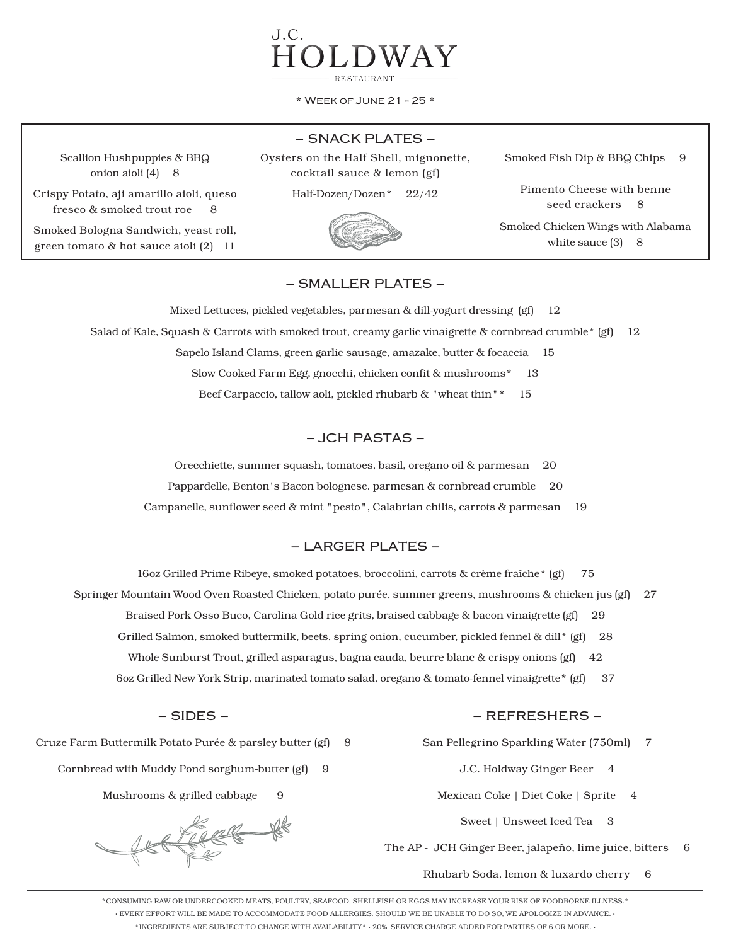

\* Week of June 21 - 25 \*

### − SNACK PLATES −

Scallion Hushpuppies & BBQ onion aioli (4) 8

Crispy Potato, aji amarillo aioli, queso fresco & smoked trout roe 8

Smoked Bologna Sandwich, yeast roll, green tomato & hot sauce aioli (2) 11

Oysters on the Half Shell, mignonette, cocktail sauce & lemon (gf)

Half-Dozen/Dozen\* 22/42



Smoked Fish Dip & BBQ Chips 9

Pimento Cheese with benne seed crackers 8

Smoked Chicken Wings with Alabama white sauce  $(3)$  8

# − SMALLER PLATES −

Mixed Lettuces, pickled vegetables, parmesan & dill-yogurt dressing (gf) 12 Salad of Kale, Squash & Carrots with smoked trout, creamy garlic vinaigrette & cornbread crumble\* (gf) 12 Sapelo Island Clams, green garlic sausage, amazake, butter & focaccia 15 Slow Cooked Farm Egg, gnocchi, chicken confit & mushrooms\* 13 Beef Carpaccio, tallow aoli, pickled rhubarb & "wheat thin"\* 15

### − JCH PASTAS −

Orecchiette, summer squash, tomatoes, basil, oregano oil & parmesan 20

Pappardelle, Benton's Bacon bolognese. parmesan & cornbread crumble 20

Campanelle, sunflower seed & mint "pesto", Calabrian chilis, carrots & parmesan 19

## − LARGER PLATES −

16oz Grilled Prime Ribeye, smoked potatoes, broccolini, carrots & crème fraîche\* (gf) 75

Springer Mountain Wood Oven Roasted Chicken, potato purée, summer greens, mushrooms & chicken jus (gf) 27

Braised Pork Osso Buco, Carolina Gold rice grits, braised cabbage & bacon vinaigrette (gf) 29

- Grilled Salmon, smoked buttermilk, beets, spring onion, cucumber, pickled fennel & dill\* (gf) 28
- Whole Sunburst Trout, grilled asparagus, bagna cauda, beurre blanc & crispy onions (gf) 42
- 6oz Grilled New York Strip, marinated tomato salad, oregano & tomato-fennel vinaigrette\* (gf) 37

### − SIDES −

Cruze Farm Buttermilk Potato Purée & parsley butter (gf) 8

Cornbread with Muddy Pond sorghum-butter (gf) 9

Mushrooms & grilled cabbage 9

REFREE PR

## − REFRESHERS −

San Pellegrino Sparkling Water (750ml) 7

- J.C. Holdway Ginger Beer 4
- Mexican Coke | Diet Coke | Sprite 4
	- Sweet | Unsweet Iced Tea 3

The AP - JCH Ginger Beer, jalapeño, lime juice, bitters 6

Rhubarb Soda, lemon & luxardo cherry 6

\*CONSUMING RAW OR UNDERCOOKED MEATS, POULTRY, SEAFOOD, SHELLFISH OR EGGS MAY INCREASE YOUR RISK OF FOODBORNE ILLNESS.\* · EVERY EFFORT WILL BE MADE TO ACCOMMODATE FOOD ALLERGIES. SHOULD WE BE UNABLE TO DO SO, WE APOLOGIZE IN ADVANCE. · \*INGREDIENTS ARE SUBJECT TO CHANGE WITH AVAILABILITY\* · 20% SERVICE CHARGE ADDED FOR PARTIES OF 6 OR MORE. ·